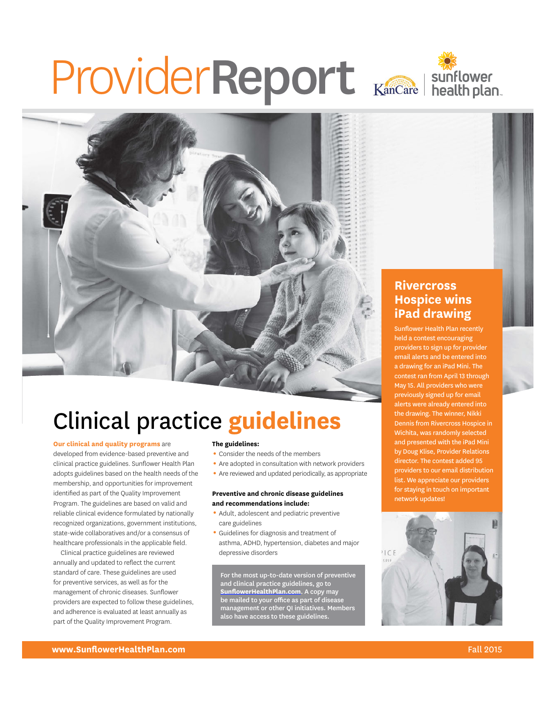# ProviderReport





# Clinical practice **guidelines**

#### **Our clinical and quality programs** are

developed from evidence-based preventive and clinical practice guidelines. Sunflower Health Plan adopts guidelines based on the health needs of the membership, and opportunities for improvement identified as part of the Quality Improvement Program. The guidelines are based on valid and reliable clinical evidence formulated by nationally recognized organizations, government institutions, state-wide collaboratives and/or a consensus of healthcare professionals in the applicable field.

Clinical practice guidelines are reviewed annually and updated to reflect the current standard of care. These guidelines are used for preventive services, as well as for the management of chronic diseases. Sunflower providers are expected to follow these guidelines, and adherence is evaluated at least annually as part of the Quality Improvement Program.

#### **The guidelines:**

- Consider the needs of the members
- Are adopted in consultation with network providers
- Are reviewed and updated periodically, as appropriate

#### **Preventive and chronic disease guidelines and recommendations include:**

- 1 Adult, adolescent and pediatric preventive care guidelines
- 1 Guidelines for diagnosis and treatment of asthma, ADHD, hypertension, diabetes and major depressive disorders

For the most up-to-date version of preventive and clinical practice guidelines, go to **SunflowerHealthPlan.com**. A copy may be mailed to your office as part of disease management or other QI initiatives. Members also have access to these guidelines.

### **Rivercross Hospice wins iPad drawing**

Sunflower Health Plan recently held a contest encouraging providers to sign up for provider email alerts and be entered into a drawing for an iPad Mini. The contest ran from April 13 through May 15. All providers who were previously signed up for email alerts were already entered into the drawing. The winner, Nikki Dennis from Rivercross Hospice in Wichita, was randomly selected and presented with the iPad Mini by Doug Klise, Provider Relations director. The contest added 95 providers to our email distribution list. We appreciate our providers for staying in touch on important network updates!

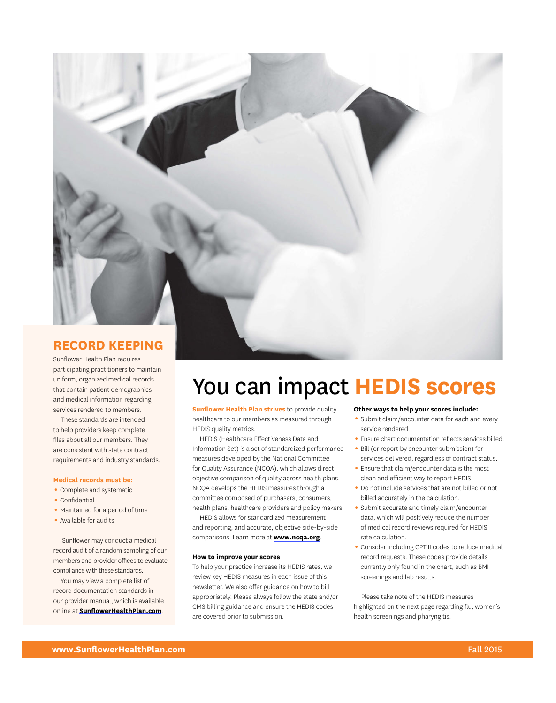

Sunflower Health Plan requires participating practitioners to maintain uniform, organized medical records that contain patient demographics and medical information regarding services rendered to members.

These standards are intended to help providers keep complete files about all our members. They are consistent with state contract requirements and industry standards.

#### **Medical records must be:**

- Complete and systematic
- Confidential
- Maintained for a period of time
- Available for audits

Sunflower may conduct a medical record audit of a random sampling of our members and provider offices to evaluate compliance with these standards.

You may view a complete list of record documentation standards in our provider manual, which is available online at **SunflowerHealthPlan.com**.

# You can impact **HEDIS scores**

**Sunflower Health Plan strives** to provide quality healthcare to our members as measured through HEDIS quality metrics.

HEDIS (Healthcare Effectiveness Data and Information Set) is a set of standardized performance measures developed by the National Committee for Quality Assurance (NCQA), which allows direct, objective comparison of quality across health plans. NCQA develops the HEDIS measures through a committee composed of purchasers, consumers, health plans, healthcare providers and policy makers.

HEDIS allows for standardized measurement and reporting, and accurate, objective side-by-side comparisons. Learn more at **www.ncqa.org**.

#### **How to improve your scores**

To help your practice increase its HEDIS rates, we review key HEDIS measures in each issue of this newsletter. We also offer guidance on how to bill appropriately. Please always follow the state and/or CMS billing guidance and ensure the HEDIS codes are covered prior to submission.

#### **Other ways to help your scores include:**

- Submit claim/encounter data for each and every service rendered.
- 1 Ensure chart documentation reflects services billed.
- Bill (or report by encounter submission) for services delivered, regardless of contract status.
- Ensure that claim/encounter data is the most clean and efficient way to report HEDIS.
- 1 Do not include services that are not billed or not billed accurately in the calculation.
- 1 Submit accurate and timely claim/encounter data, which will positively reduce the number of medical record reviews required for HEDIS rate calculation.
- 1 Consider including CPT II codes to reduce medical record requests. These codes provide details currently only found in the chart, such as BMI screenings and lab results.

Please take note of the HEDIS measures highlighted on the next page regarding flu, women's health screenings and pharyngitis.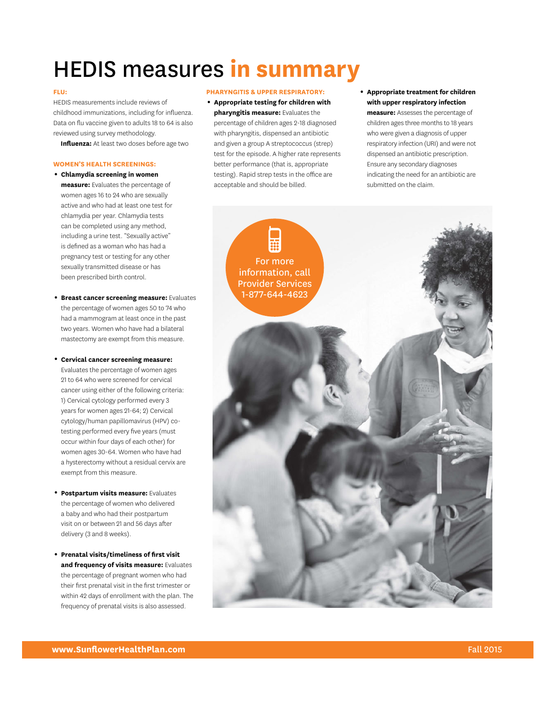# HEDIS measures **in summary**

#### **FLU:**

HEDIS measurements include reviews of childhood immunizations, including for influenza. Data on flu vaccine given to adults 18 to 64 is also reviewed using survey methodology.

**Influenza:** At least two doses before age two

#### **WOMEn'S HEALTH ScREEnIngS:**

- **Medical Emergency VIsion** women ages 16 to 24 who are sexually **Services Services** active and who had at least one test for **Prescriptions Women's**  sexually transmitted disease or has been prescribed birth control. 1**chlamydia screening in women measure:** Evaluates the percentage of chlamydia per year. Chlamydia tests can be completed using any method, including a urine test. "Sexually active" is defined as a woman who has had a pregnancy test or testing for any other
- mastectomy are exempt from this measure. 1**Breast cancer screening measure:** Evaluates the percentage of women ages 50 to 74 who had a mammogram at least once in the past two years. Women who have had a bilateral

a hysterectomy without a residual cervix are years for women ages 21-64; 2) Cervical 1**cervical cancer screening measure:**  Evaluates the percentage of women ages 21 to 64 who were screened for cervical cancer using either of the following criteria: 1) Cervical cytology performed every 3 cytology/human papillomavirus (HPV) cotesting performed every five years (must occur within four days of each other) for women ages 30-64. Women who have had exempt from this measure.

- **Postpartum visits measure: Evaluates** a baby and who had their postpartum visit on or between 21 and 56 days after delivery (3 and 8 weeks).
- 1**Prenatal visits/timeliness of first visit and frequency of visits measure:** Evaluates the percentage of pregnant women who had their first prenatal visit in the first trimester or within 42 days of enrollment with the plan. The frequency of prenatal visits is also assessed.

#### **PHARYngITIS & UPPER RESPIRATORY:**

- 1**Appropriate testing for children with pharyngitis measure:** Evaluates the percentage of children ages 2-18 diagnosed with pharyngitis, dispensed an antibiotic and given a group A streptococcus (strep) test for the episode. A higher rate represents better performance (that is, appropriate testing). Rapid strep tests in the office are acceptable and should be billed.
- 1**Appropriate treatment for children with upper respiratory infection**

**measure:** Assesses the percentage of children ages three months to 18 years who were given a diagnosis of upper respiratory infection (URI) and were not dispensed an antibiotic prescription. Ensure any secondary diagnoses indicating the need for an antibiotic are submitted on the claim.